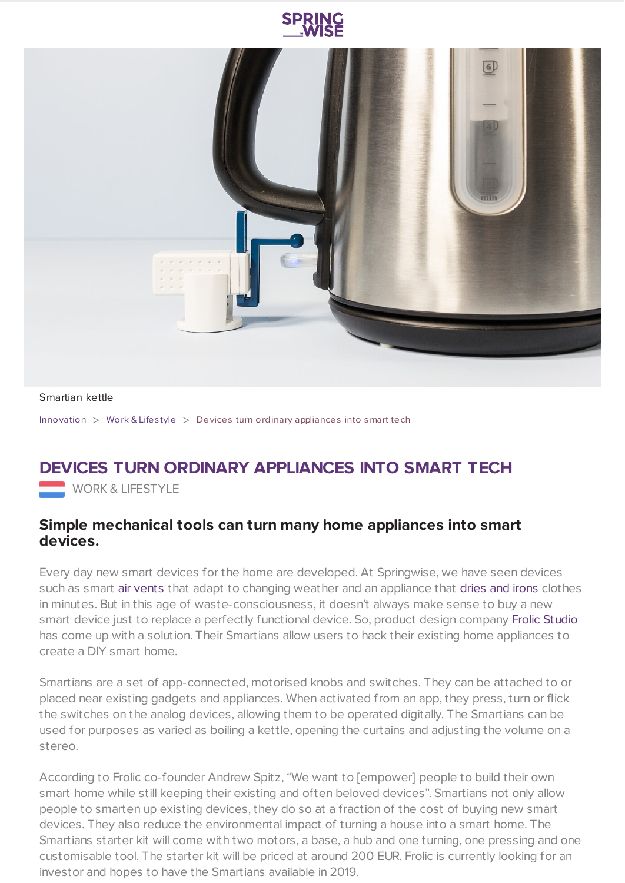



## Smartian kettle

[Innovation](https://www.springwise.com/search?type=innovation) > [Work](https://www.springwise.com/search?type=innovation§or=work-lifestyle) & Lifestyle > Devices turn ordinary appliances into smart tech

## **DEVICES TURN ORDINARY APPLIANCES INTO SMART TECH**

**WORK & LIFESTYLE** 

## **Simple mechanical tools can turn many home appliances into smart devices.**

Every day new smart devices for the home are developed. At Springwise, we have seen devices such as smart air [vents](https://www.springwise.com/iot-air-vents-in-homes-adapt-to-humidity-and-weather/) that adapt to changing weather and an appliance that [dries](https://www.springwise.com/compact-appliance-dries-and-irons-clothes-in-minutes/) and irons clothes in minutes. But in this age of waste-consciousness, it doesn't always make sense to buy a new smart device just to replace a perfectly functional device. So, product design company Frolic [Studio](http://frolicstudio.com/) has come up with a solution. Their Smartians allow users to hack their existing home appliances to create a DIY smart home.

Smartians are a set of app-connected, motorised knobs and switches. They can be attached to or placed near existing gadgets and appliances. When activated from an app, they press, turn or flick the switches on the analog devices, allowing them to be operated digitally. The Smartians can be used for purposes as varied as boiling a kettle, opening the curtains and adjusting the volume on a stereo.

According to Frolic co-founder Andrew Spitz, "We want to [empower] people to build their own smart home while still keeping their existing and often beloved devices". Smartians not only allow people to smarten up existing devices, they do so at a fraction of the cost of buying new smart devices. They also reduce the environmental impact of turning a house into a smart home. The Smartians starter kit will come with two motors, a base, a hub and one turning, one pressing and one customisable tool. The starter kit will be priced at around 200 EUR. Frolic is currently looking for an investor and hopes to have the Smartians available in 2019.